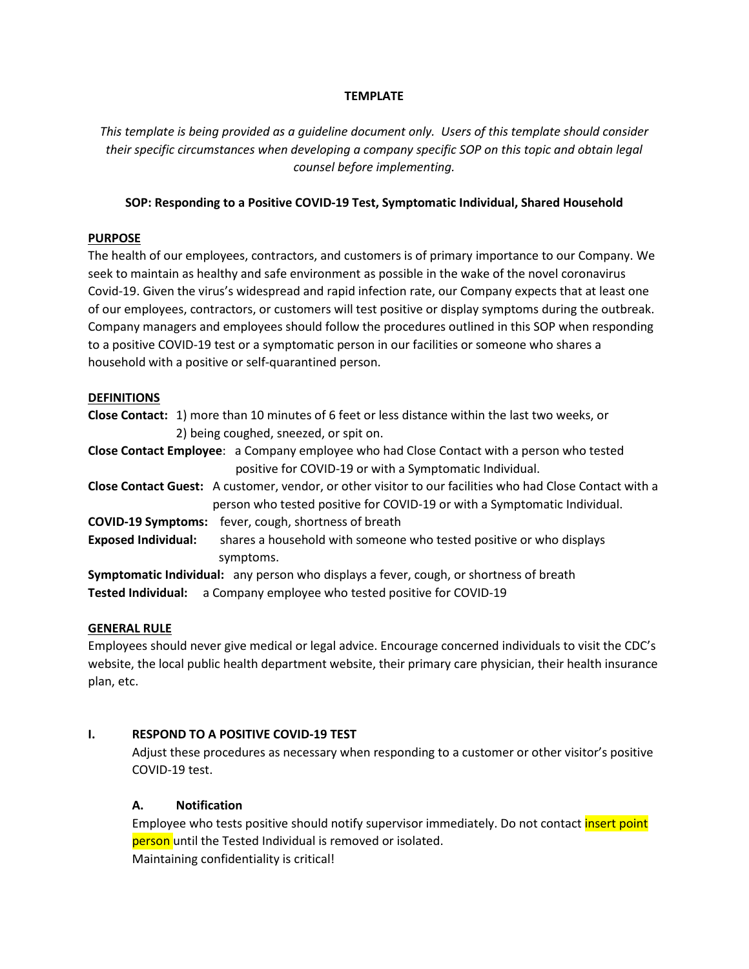#### **TEMPLATE**

*This template is being provided as a guideline document only. Users of this template should consider their specific circumstances when developing a company specific SOP on this topic and obtain legal counsel before implementing.*

#### **SOP: Responding to a Positive COVID-19 Test, Symptomatic Individual, Shared Household**

#### **PURPOSE**

The health of our employees, contractors, and customers is of primary importance to our Company. We seek to maintain as healthy and safe environment as possible in the wake of the novel coronavirus Covid-19. Given the virus's widespread and rapid infection rate, our Company expects that at least one of our employees, contractors, or customers will test positive or display symptoms during the outbreak. Company managers and employees should follow the procedures outlined in this SOP when responding to a positive COVID-19 test or a symptomatic person in our facilities or someone who shares a household with a positive or self-quarantined person.

#### **DEFINITIONS**

- **Close Contact:** 1) more than 10 minutes of 6 feet or less distance within the last two weeks, or 2) being coughed, sneezed, or spit on.
- **Close Contact Employee**: a Company employee who had Close Contact with a person who tested positive for COVID-19 or with a Symptomatic Individual.
- **Close Contact Guest:** A customer, vendor, or other visitor to our facilities who had Close Contact with a person who tested positive for COVID-19 or with a Symptomatic Individual.
- **COVID-19 Symptoms:** fever, cough, shortness of breath
- **Exposed Individual:** shares a household with someone who tested positive or who displays symptoms.

**Symptomatic Individual:** any person who displays a fever, cough, or shortness of breath **Tested Individual:** a Company employee who tested positive for COVID-19

#### **GENERAL RULE**

Employees should never give medical or legal advice. Encourage concerned individuals to visit the CDC's website, the local public health department website, their primary care physician, their health insurance plan, etc.

#### **I. RESPOND TO A POSITIVE COVID-19 TEST**

Adjust these procedures as necessary when responding to a customer or other visitor's positive COVID-19 test.

#### **A. Notification**

Employee who tests positive should notify supervisor immediately. Do not contact *insert point* person until the Tested Individual is removed or isolated. Maintaining confidentiality is critical!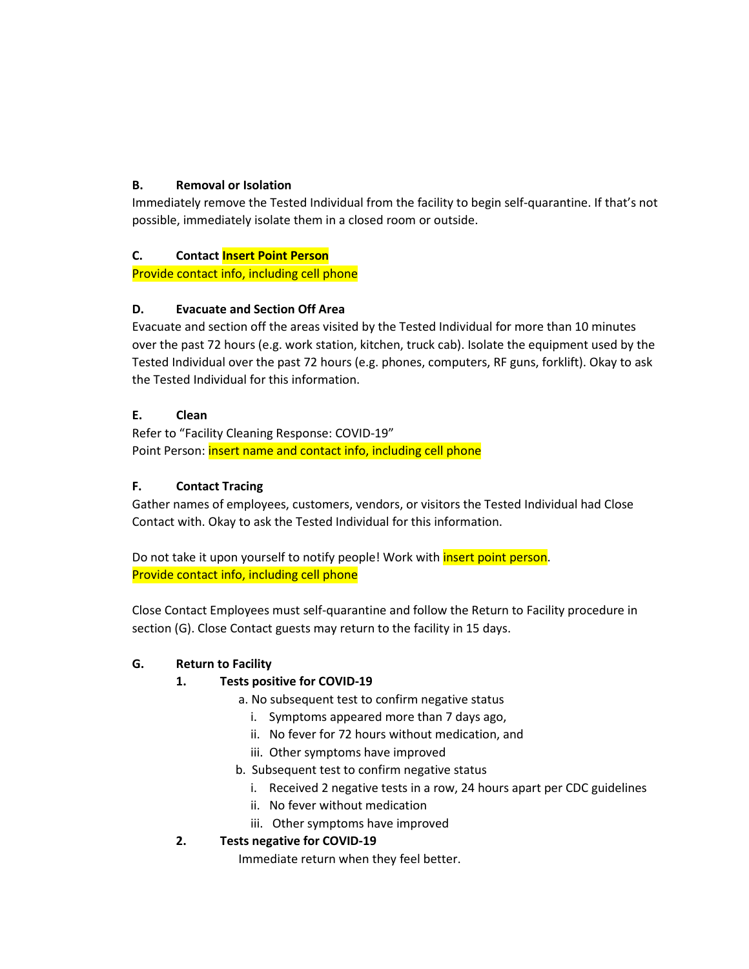#### **B. Removal or Isolation**

Immediately remove the Tested Individual from the facility to begin self-quarantine. If that's not possible, immediately isolate them in a closed room or outside.

#### **C. Contact Insert Point Person**

Provide contact info, including cell phone

#### **D. Evacuate and Section Off Area**

Evacuate and section off the areas visited by the Tested Individual for more than 10 minutes over the past 72 hours (e.g. work station, kitchen, truck cab). Isolate the equipment used by the Tested Individual over the past 72 hours (e.g. phones, computers, RF guns, forklift). Okay to ask the Tested Individual for this information.

#### **E. Clean**

Refer to "Facility Cleaning Response: COVID-19" Point Person: *insert name and contact info, including cell phone* 

#### **F. Contact Tracing**

Gather names of employees, customers, vendors, or visitors the Tested Individual had Close Contact with. Okay to ask the Tested Individual for this information.

Do not take it upon yourself to notify people! Work with *insert point person*. Provide contact info, including cell phone

Close Contact Employees must self-quarantine and follow the Return to Facility procedure in section (G). Close Contact guests may return to the facility in 15 days.

## **G. Return to Facility**

## **1. Tests positive for COVID-19**

- a. No subsequent test to confirm negative status
	- i. Symptoms appeared more than 7 days ago,
	- ii. No fever for 72 hours without medication, and
	- iii. Other symptoms have improved
- b. Subsequent test to confirm negative status
	- i. Received 2 negative tests in a row, 24 hours apart per CDC guidelines
	- ii. No fever without medication
	- iii. Other symptoms have improved

## **2. Tests negative for COVID-19**

Immediate return when they feel better.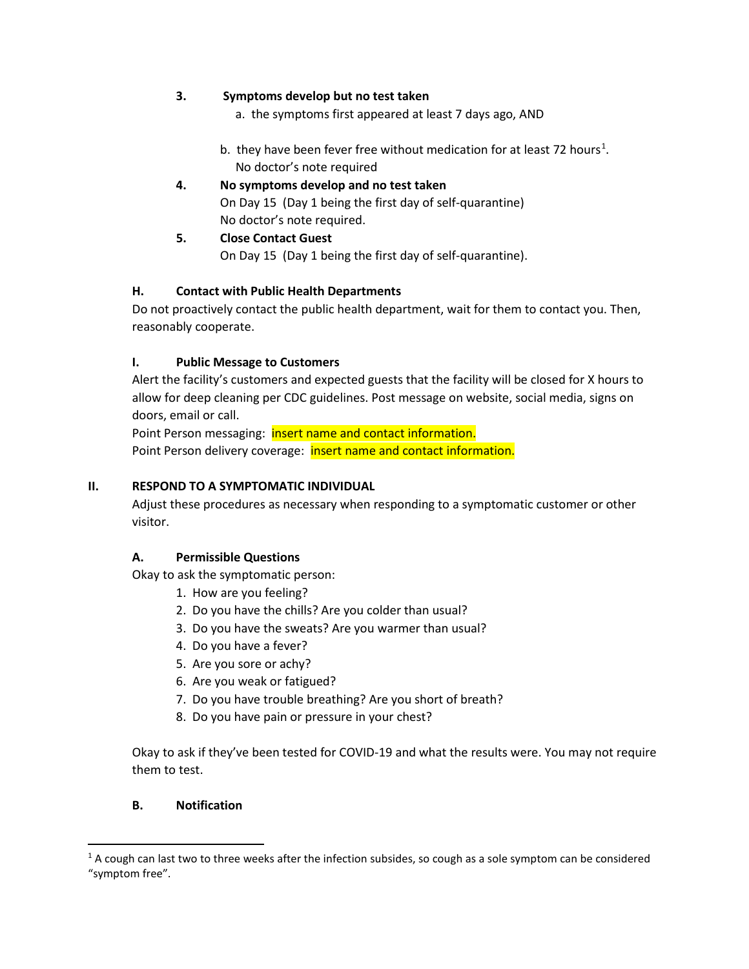#### **3. Symptoms develop but no test taken**

a. the symptoms first appeared at least 7 days ago, AND

- b. they have been fever free without medication for at least 72 hours<sup>[1](#page-2-0)</sup>. No doctor's note required
- **4. No symptoms develop and no test taken** On Day 15 (Day 1 being the first day of self-quarantine) No doctor's note required.
- **5. Close Contact Guest** On Day 15 (Day 1 being the first day of self-quarantine).

#### **H. Contact with Public Health Departments**

Do not proactively contact the public health department, wait for them to contact you. Then, reasonably cooperate.

#### **I. Public Message to Customers**

Alert the facility's customers and expected guests that the facility will be closed for X hours to allow for deep cleaning per CDC guidelines. Post message on website, social media, signs on doors, email or call.

Point Person messaging: **insert name and contact information.** Point Person delivery coverage: insert name and contact information.

#### **II. RESPOND TO A SYMPTOMATIC INDIVIDUAL**

Adjust these procedures as necessary when responding to a symptomatic customer or other visitor.

#### **A. Permissible Questions**

Okay to ask the symptomatic person:

- 1. How are you feeling?
- 2. Do you have the chills? Are you colder than usual?
- 3. Do you have the sweats? Are you warmer than usual?
- 4. Do you have a fever?
- 5. Are you sore or achy?
- 6. Are you weak or fatigued?
- 7. Do you have trouble breathing? Are you short of breath?
- 8. Do you have pain or pressure in your chest?

Okay to ask if they've been tested for COVID-19 and what the results were. You may not require them to test.

#### **B. Notification**

<span id="page-2-0"></span> $1$  A cough can last two to three weeks after the infection subsides, so cough as a sole symptom can be considered "symptom free".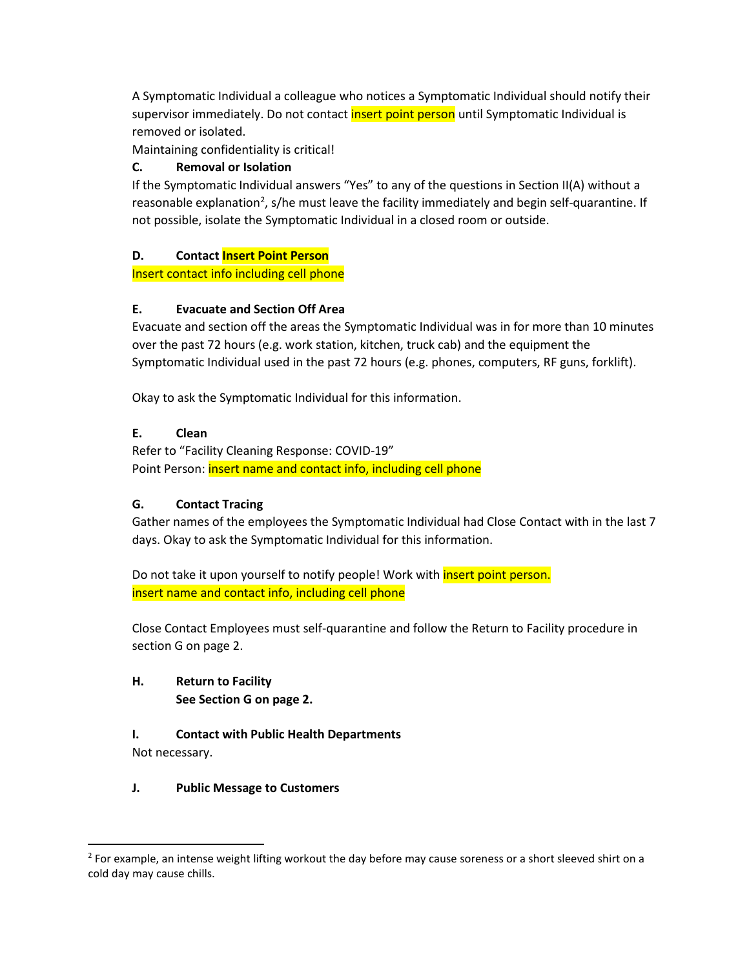A Symptomatic Individual a colleague who notices a Symptomatic Individual should notify their supervisor immediately. Do not contact insert point person until Symptomatic Individual is removed or isolated.

Maintaining confidentiality is critical!

#### **C. Removal or Isolation**

If the Symptomatic Individual answers "Yes" to any of the questions in Section II(A) without a reasonable explanation<sup>[2](#page-3-0)</sup>, s/he must leave the facility immediately and begin self-quarantine. If not possible, isolate the Symptomatic Individual in a closed room or outside.

#### **D. Contact Insert Point Person**

Insert contact info including cell phone

#### **E. Evacuate and Section Off Area**

Evacuate and section off the areas the Symptomatic Individual was in for more than 10 minutes over the past 72 hours (e.g. work station, kitchen, truck cab) and the equipment the Symptomatic Individual used in the past 72 hours (e.g. phones, computers, RF guns, forklift).

Okay to ask the Symptomatic Individual for this information.

#### **E. Clean**

Refer to "Facility Cleaning Response: COVID-19" Point Person: *insert name and contact info, including cell phone* 

#### **G. Contact Tracing**

Gather names of the employees the Symptomatic Individual had Close Contact with in the last 7 days. Okay to ask the Symptomatic Individual for this information.

Do not take it upon yourself to notify people! Work with *insert point person.* insert name and contact info, including cell phone

Close Contact Employees must self-quarantine and follow the Return to Facility procedure in section G on page 2.

## **H. Return to Facility See Section G on page 2.**

# **I. Contact with Public Health Departments**

Not necessary.

#### **J. Public Message to Customers**

<span id="page-3-0"></span> $2$  For example, an intense weight lifting workout the day before may cause soreness or a short sleeved shirt on a cold day may cause chills.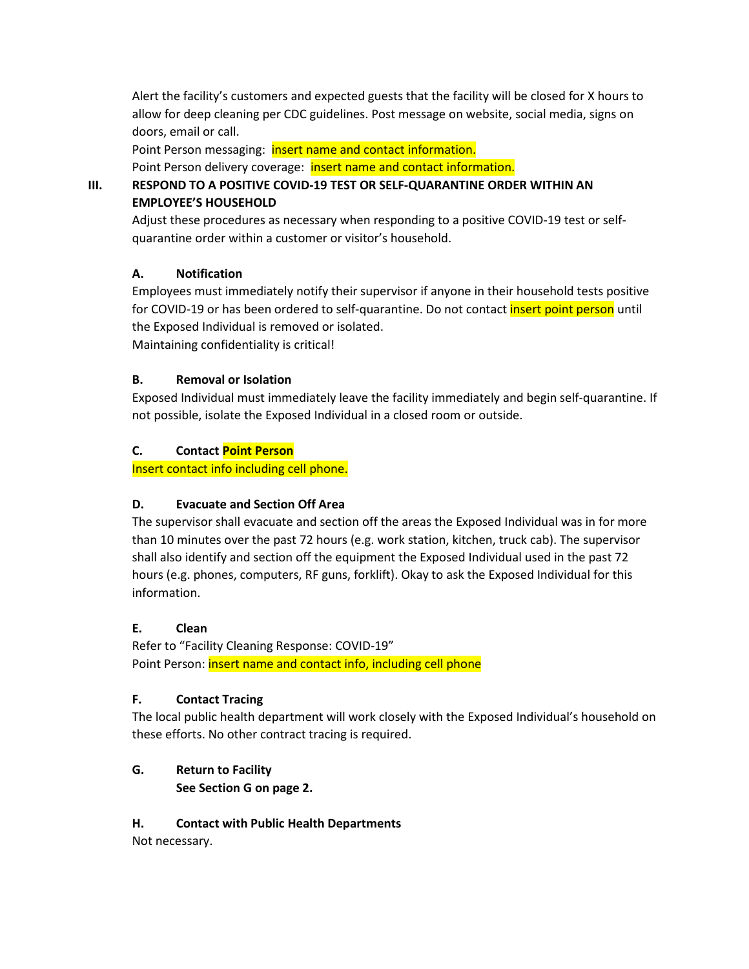Alert the facility's customers and expected guests that the facility will be closed for X hours to allow for deep cleaning per CDC guidelines. Post message on website, social media, signs on doors, email or call.

Point Person messaging: insert name and contact information.

Point Person delivery coverage: insert name and contact information.

## **III. RESPOND TO A POSITIVE COVID-19 TEST OR SELF-QUARANTINE ORDER WITHIN AN EMPLOYEE'S HOUSEHOLD**

Adjust these procedures as necessary when responding to a positive COVID-19 test or selfquarantine order within a customer or visitor's household.

## **A. Notification**

Employees must immediately notify their supervisor if anyone in their household tests positive for COVID-19 or has been ordered to self-quarantine. Do not contact **insert point person** until the Exposed Individual is removed or isolated.

Maintaining confidentiality is critical!

#### **B. Removal or Isolation**

Exposed Individual must immediately leave the facility immediately and begin self-quarantine. If not possible, isolate the Exposed Individual in a closed room or outside.

#### **C. Contact Point Person**

Insert contact info including cell phone.

## **D. Evacuate and Section Off Area**

The supervisor shall evacuate and section off the areas the Exposed Individual was in for more than 10 minutes over the past 72 hours (e.g. work station, kitchen, truck cab). The supervisor shall also identify and section off the equipment the Exposed Individual used in the past 72 hours (e.g. phones, computers, RF guns, forklift). Okay to ask the Exposed Individual for this information.

#### **E. Clean**

Refer to "Facility Cleaning Response: COVID-19" Point Person: *insert name and contact info, including cell phone* 

#### **F. Contact Tracing**

The local public health department will work closely with the Exposed Individual's household on these efforts. No other contract tracing is required.

## **G. Return to Facility**

**See Section G on page 2.**

#### **H. Contact with Public Health Departments**

Not necessary.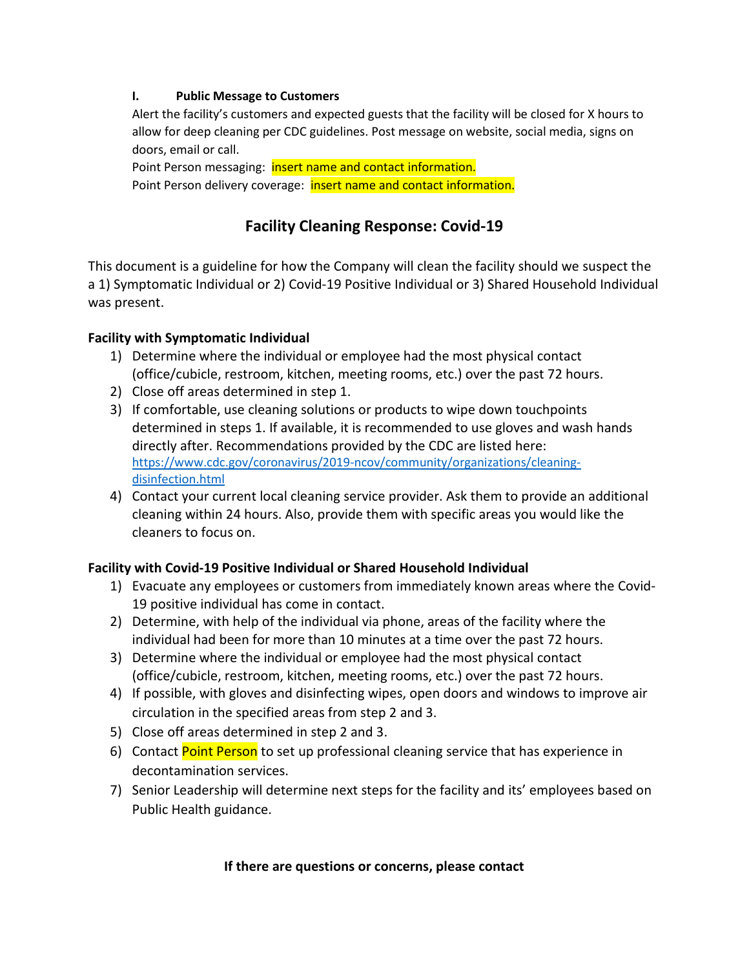#### **I. Public Message to Customers**

Alert the facility's customers and expected guests that the facility will be closed for X hours to allow for deep cleaning per CDC guidelines. Post message on website, social media, signs on doors, email or call.

Point Person messaging: **insert name and contact information.** Point Person delivery coverage: insert name and contact information.

## **Facility Cleaning Response: Covid-19**

This document is a guideline for how the Company will clean the facility should we suspect the a 1) Symptomatic Individual or 2) Covid-19 Positive Individual or 3) Shared Household Individual was present.

## **Facility with Symptomatic Individual**

- 1) Determine where the individual or employee had the most physical contact (office/cubicle, restroom, kitchen, meeting rooms, etc.) over the past 72 hours.
- 2) Close off areas determined in step 1.
- 3) If comfortable, use cleaning solutions or products to wipe down touchpoints determined in steps 1. If available, it is recommended to use gloves and wash hands directly after. Recommendations provided by the CDC are listed here: [https://www.cdc.gov/coronavirus/2019-ncov/community/organizations/cleaning](https://www.cdc.gov/coronavirus/2019-ncov/community/organizations/cleaning-disinfection.html)[disinfection.html](https://www.cdc.gov/coronavirus/2019-ncov/community/organizations/cleaning-disinfection.html)
- 4) Contact your current local cleaning service provider. Ask them to provide an additional cleaning within 24 hours. Also, provide them with specific areas you would like the cleaners to focus on.

## **Facility with Covid-19 Positive Individual or Shared Household Individual**

- 1) Evacuate any employees or customers from immediately known areas where the Covid-19 positive individual has come in contact.
- 2) Determine, with help of the individual via phone, areas of the facility where the individual had been for more than 10 minutes at a time over the past 72 hours.
- 3) Determine where the individual or employee had the most physical contact (office/cubicle, restroom, kitchen, meeting rooms, etc.) over the past 72 hours.
- 4) If possible, with gloves and disinfecting wipes, open doors and windows to improve air circulation in the specified areas from step 2 and 3.
- 5) Close off areas determined in step 2 and 3.
- 6) Contact Point Person to set up professional cleaning service that has experience in decontamination services.
- 7) Senior Leadership will determine next steps for the facility and its' employees based on Public Health guidance.

#### **If there are questions or concerns, please contact**